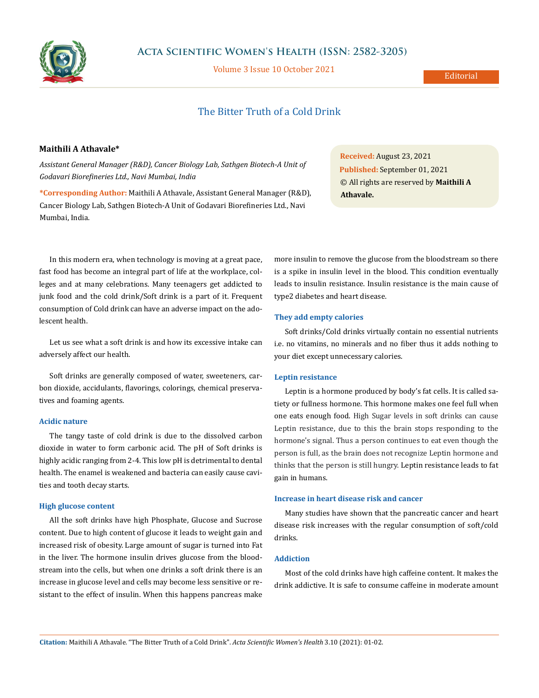

## **Acta Scientific Women's Health (ISSN: 2582-3205)**

Volume 3 Issue 10 October 2021

# The Bitter Truth of a Cold Drink

### **Maithili A Athavale\***

*Assistant General Manager (R&D), Cancer Biology Lab, Sathgen Biotech-A Unit of Godavari Biorefineries Ltd., Navi Mumbai, India*

**\*Corresponding Author:** Maithili A Athavale, Assistant General Manager (R&D), Cancer Biology Lab, Sathgen Biotech-A Unit of Godavari Biorefineries Ltd., Navi Mumbai, India.

**Received:** August 23, 2021 **Published:** September 01, 2021 © All rights are reserved by **Maithili A Athavale.**

In this modern era, when technology is moving at a great pace, fast food has become an integral part of life at the workplace, colleges and at many celebrations. Many teenagers get addicted to junk food and the cold drink/Soft drink is a part of it. Frequent consumption of Cold drink can have an adverse impact on the adolescent health.

Let us see what a soft drink is and how its excessive intake can adversely affect our health.

Soft drinks are generally composed of water, sweeteners, carbon dioxide, accidulants, flavorings, colorings, chemical preservatives and foaming agents.

### **Acidic nature**

The tangy taste of cold drink is due to the dissolved carbon dioxide in water to form carbonic acid. The pH of Soft drinks is highly acidic ranging from 2-4. This low pH is detrimental to dental health. The enamel is weakened and bacteria can easily cause cavities and tooth decay starts.

#### **High glucose content**

All the soft drinks have high Phosphate, Glucose and Sucrose content. Due to high content of glucose it leads to weight gain and increased risk of obesity. Large amount of sugar is turned into Fat in the liver. The hormone insulin drives glucose from the bloodstream into the cells, but when one drinks a soft drink there is an increase in glucose level and cells may become less sensitive or resistant to the effect of insulin. When this happens pancreas make more insulin to remove the glucose from the bloodstream so there is a spike in insulin level in the blood. This condition eventually leads to insulin resistance. Insulin resistance is the main cause of type2 diabetes and heart disease.

#### **They add empty calories**

Soft drinks/Cold drinks virtually contain no essential nutrients i.e. no vitamins, no minerals and no fiber thus it adds nothing to your diet except unnecessary calories.

#### **Leptin resistance**

Leptin is a hormone produced by body's fat cells. It is called satiety or fullness hormone. This hormone makes one feel full when one eats enough food. High Sugar levels in soft drinks can cause Leptin resistance, due to this the brain stops responding to the hormone's signal. Thus a person continues to eat even though the person is full, as the brain does not recognize Leptin hormone and thinks that the person is still hungry. Leptin resistance leads to fat gain in humans.

#### **Increase in heart disease risk and cancer**

Many studies have shown that the pancreatic cancer and heart disease risk increases with the regular consumption of soft/cold drinks.

#### **Addiction**

Most of the cold drinks have high caffeine content. It makes the drink addictive. It is safe to consume caffeine in moderate amount